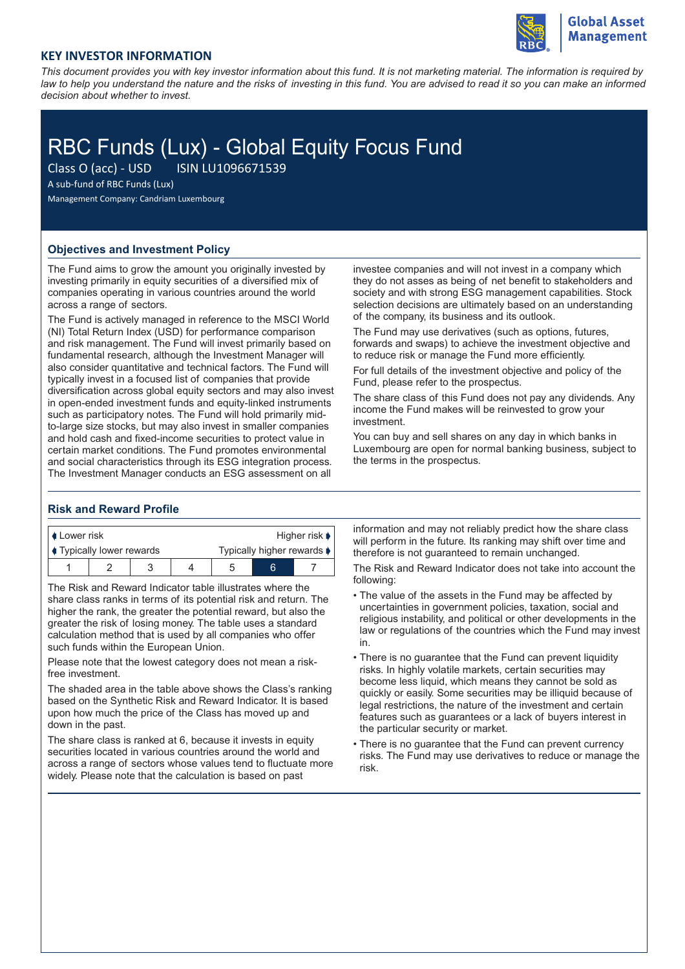

## **KEY INVESTOR INFORMATION**

*This document provides you with key investor information about this fund. It is not marketing material. The information is required by law to help you understand the nature and the risks of investing in this fund. You are advised to read it so you can make an informed decision about whether to invest.*

# RBC Funds (Lux) - Global Equity Focus Fund

Class O (acc) - USD ISIN LU1096671539

A sub-fund of RBC Funds (Lux)

Management Company: Candriam Luxembourg

### **Objectives and Investment Policy**

The Fund aims to grow the amount you originally invested by investing primarily in equity securities of a diversified mix of companies operating in various countries around the world across a range of sectors.

The Fund is actively managed in reference to the MSCI World (NI) Total Return Index (USD) for performance comparison and risk management. The Fund will invest primarily based on fundamental research, although the Investment Manager will also consider quantitative and technical factors. The Fund will typically invest in a focused list of companies that provide diversification across global equity sectors and may also invest in open-ended investment funds and equity-linked instruments such as participatory notes. The Fund will hold primarily midto-large size stocks, but may also invest in smaller companies and hold cash and fixed-income securities to protect value in certain market conditions. The Fund promotes environmental and social characteristics through its ESG integration process. The Investment Manager conducts an ESG assessment on all

investee companies and will not invest in a company which they do not asses as being of net benefit to stakeholders and society and with strong ESG management capabilities. Stock selection decisions are ultimately based on an understanding of the company, its business and its outlook.

The Fund may use derivatives (such as options, futures, forwards and swaps) to achieve the investment objective and to reduce risk or manage the Fund more efficiently.

For full details of the investment objective and policy of the Fund, please refer to the prospectus.

The share class of this Fund does not pay any dividends. Any income the Fund makes will be reinvested to grow your investment.

You can buy and sell shares on any day in which banks in Luxembourg are open for normal banking business, subject to the terms in the prospectus.

#### **Risk and Reward Profile**

| I Lower risk                   |  |  |  | Higher risk $\blacktriangleright$ |   |  |
|--------------------------------|--|--|--|-----------------------------------|---|--|
| <b>Typically lower rewards</b> |  |  |  | Typically higher rewards ♦        |   |  |
|                                |  |  |  |                                   | ี |  |

The Risk and Reward Indicator table illustrates where the share class ranks in terms of its potential risk and return. The higher the rank, the greater the potential reward, but also the greater the risk of losing money. The table uses a standard calculation method that is used by all companies who offer such funds within the European Union.

Please note that the lowest category does not mean a riskfree investment.

The shaded area in the table above shows the Class's ranking based on the Synthetic Risk and Reward Indicator. It is based upon how much the price of the Class has moved up and down in the past.

The share class is ranked at 6, because it invests in equity securities located in various countries around the world and across a range of sectors whose values tend to fluctuate more widely. Please note that the calculation is based on past

information and may not reliably predict how the share class will perform in the future. Its ranking may shift over time and therefore is not guaranteed to remain unchanged.

The Risk and Reward Indicator does not take into account the following:

- The value of the assets in the Fund may be affected by uncertainties in government policies, taxation, social and religious instability, and political or other developments in the law or regulations of the countries which the Fund may invest in.
- There is no guarantee that the Fund can prevent liquidity risks. In highly volatile markets, certain securities may become less liquid, which means they cannot be sold as quickly or easily. Some securities may be illiquid because of legal restrictions, the nature of the investment and certain features such as guarantees or a lack of buyers interest in the particular security or market.
- There is no guarantee that the Fund can prevent currency risks. The Fund may use derivatives to reduce or manage the risk.